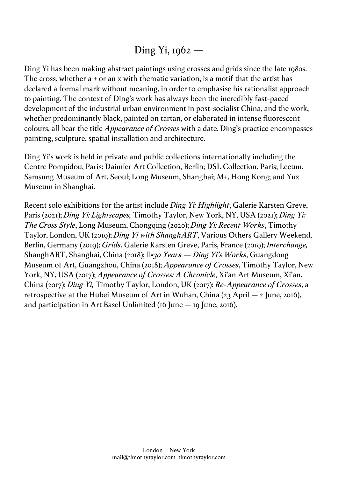# Ding Yi, 1962 —

Ding Yi has been making abstract paintings using crosses and grids since the late 1980s. The cross, whether a + or an x with thematic variation, is a motif that the artist has declared a formal mark without meaning, in order to emphasise his rationalist approach to painting. The context of Ding's work has always been the incredibly fast-paced development of the industrial urban environment in post-socialist China, and the work, whether predominantly black, painted on tartan, or elaborated in intense fluorescent colours, all bear the title *Appearance of Crosses* with a date. Ding's practice encompasses painting, sculpture, spatial installation and architecture.

Ding Yi's work is held in private and public collections internationally including the Centre Pompidou, Paris; Daimler Art Collection, Berlin; DSL Collection, Paris; Leeum, Samsung Museum of Art, Seoul; Long Museum, Shanghai; M+, Hong Kong; and Yuz Museum in Shanghai.

Recent solo exhibitions for the artist include *Ding Yi: Highlight*, Galerie Karsten Greve, Paris (2021); *Ding Yi: Lightscapes,* Timothy Taylor, New York, NY, USA (2021); *Ding Yi: The Cross Style*, Long Museum, Chongqing (2020); *Ding Yi: Recent Works*, Timothy Taylor, London, UK (2019); *Ding Yi with ShanghART*, Various Others Gallery Weekend, Berlin, Germany (2019); *Grids*, Galerie Karsten Greve, Paris, France (2019); *Interchange,* ShanghART, Shanghai, China (2018); 十*×30 Years — Ding Yi's Works*, Guangdong Museum of Art, Guangzhou, China (2018); *Appearance of Crosses*, Timothy Taylor, New York, NY, USA (2017); *Appearance of Crosses: A Chronicle*, Xi'an Art Museum, Xi'an, China (2017); *Ding Yi,* Timothy Taylor, London, UK (2017); *Re-Appearance of Crosses*, a retrospective at the Hubei Museum of Art in Wuhan, China  $(23$  April – 2 June, 2016), and participation in Art Basel Unlimited (16 June  $-$  19 June, 2016).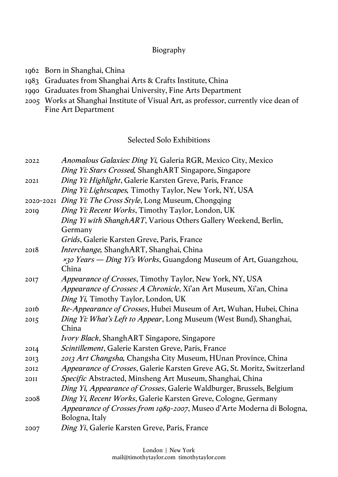### Biography

- 1962 Born in Shanghai, China
- 1983 Graduates from Shanghai Arts & Crafts Institute, China
- 1990 Graduates from Shanghai University, Fine Arts Department
- 2005 Works at Shanghai Institute of Visual Art, as professor, currently vice dean of Fine Art Department

## Selected Solo Exhibitions

| 2022        | Anomalous Galaxies: Ding Yi, Galeria RGR, Mexico City, Mexico            |
|-------------|--------------------------------------------------------------------------|
|             | Ding Yi: Stars Crossed, ShanghART Singapore, Singapore                   |
|             |                                                                          |
| 202I        | Ding Yi: Highlight, Galerie Karsten Greve, Paris, France                 |
|             | Ding Yi: Lightscapes, Timothy Taylor, New York, NY, USA                  |
|             | 2020-2021 Ding Yi: The Cross Style, Long Museum, Chongqing               |
| 2010        | Ding Yi: Recent Works, Timothy Taylor, London, UK                        |
|             | Ding Yi with ShanghART, Various Others Gallery Weekend, Berlin,          |
|             | Germany                                                                  |
|             | Grids, Galerie Karsten Greve, Paris, France                              |
| 2018        | Interchange, ShanghART, Shanghai, China                                  |
|             | x30 Years - Ding Yi's Works, Guangdong Museum of Art, Guangzhou,         |
|             | China                                                                    |
| 2017        | <i>Appearance of Crosses</i> , Timothy Taylor, New York, NY, USA         |
|             | Appearance of Crosses: A Chronicle, Xi'an Art Museum, Xi'an, China       |
|             | Ding Yi, Timothy Taylor, London, UK                                      |
| 2016        | Re-Appearance of Crosses, Hubei Museum of Art, Wuhan, Hubei, China       |
| 2015        | Ding Yi: What's Left to Appear, Long Museum (West Bund), Shanghai,       |
|             | China                                                                    |
|             | <i>Ivory Black</i> , ShanghART Singapore, Singapore                      |
| 2014        | Scintillement, Galerie Karsten Greve, Paris, France                      |
| 2013        | 2013 Art Changsha, Changsha City Museum, HUnan Province, China           |
| 2012        | Appearance of Crosses, Galerie Karsten Greve AG, St. Moritz, Switzerland |
| <b>20II</b> | Specific Abstracted, Minsheng Art Museum, Shanghai, China                |
|             | Ding Yi, Appearance of Crosses, Galerie Waldburger, Brussels, Belgium    |
| 2008        | Ding Yi, Recent Works, Galerie Karsten Greve, Cologne, Germany           |
|             | Appearance of Crosses from 1989-2007, Museo d'Arte Moderna di Bologna,   |
|             | Bologna, Italy                                                           |
| 2007        | Ding Yi, Galerie Karsten Greve, Paris, France                            |
|             |                                                                          |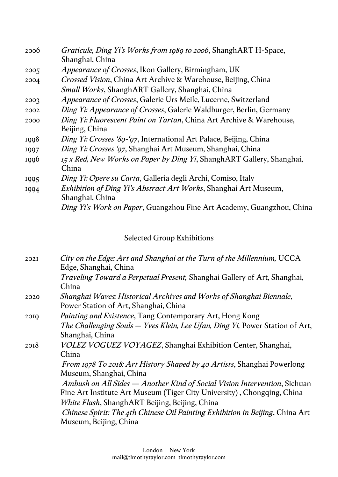| 2006 | Graticule, Ding Yi's Works from 1989 to 2006, ShanghART H-Space,         |
|------|--------------------------------------------------------------------------|
|      | Shanghai, China                                                          |
| 2005 | <i>Appearance of Crosses</i> , Ikon Gallery, Birmingham, UK              |
| 2004 | <i>Crossed Vision</i> , China Art Archive & Warehouse, Beijing, China    |
|      | Small Works, ShanghART Gallery, Shanghai, China                          |
| 2003 | Appearance of Crosses, Galerie Urs Meile, Lucerne, Switzerland           |
| 2002 | Ding Yi: Appearance of Crosses, Galerie Waldburger, Berlin, Germany      |
| 2000 | Ding Yi: Fluorescent Paint on Tartan, China Art Archive & Warehouse,     |
|      | Beijing, China                                                           |
| 1998 | Ding Yi: Crosses '89-'97, International Art Palace, Beijing, China       |
| 1997 | Ding Yi: Crosses '97, Shanghai Art Museum, Shanghai, China               |
| 1996 | 15 x Red, New Works on Paper by Ding Yi, ShanghART Gallery, Shanghai,    |
|      | China                                                                    |
| 1995 | Ding Yi: Opere su Carta, Galleria degli Archi, Comiso, Italy             |
| 1994 | <i>Exhibition of Ding Yi's Abstract Art Works</i> , Shanghai Art Museum, |
|      | Shanghai, China                                                          |
|      | Ding Yi's Work on Paper, Guangzhou Fine Art Academy, Guangzhou, China    |

# Selected Group Exhibitions

| 202I | City on the Edge: Art and Shanghai at the Turn of the Millennium, UCCA                          |
|------|-------------------------------------------------------------------------------------------------|
|      | Edge, Shanghai, China                                                                           |
|      | <i>Traveling Toward a Perpetual Present, Shanghai Gallery of Art, Shanghai,</i>                 |
|      | China                                                                                           |
| 2020 | Shanghai Waves: Historical Archives and Works of Shanghai Biennale,                             |
|      | Power Station of Art, Shanghai, China                                                           |
| 2010 | <i>Painting and Existence</i> , Tang Contemporary Art, Hong Kong                                |
|      | The Challenging Souls – Yves Klein, Lee Ufan, Ding Yi, Power Station of Art,<br>Shanghai, China |
| 2018 | VOLEZ VOGUEZ VOYAGEZ, Shanghai Exhibition Center, Shanghai,                                     |
|      | China                                                                                           |
|      | <i>From 1978 To 2018: Art History Shaped by 40 Artists, Shanghai Powerlong</i>                  |
|      | Museum, Shanghai, China                                                                         |
|      | Ambush on All Sides — Another Kind of Social Vision Intervention, Sichuan                       |
|      | Fine Art Institute Art Museum (Tiger City University), Chongqing, China                         |
|      | White Flash, ShanghART Beijing, Beijing, China                                                  |
|      | Chinese Spirit: The 4th Chinese Oil Painting Exhibition in Beijing, China Art                   |
|      | Museum, Beijing, China                                                                          |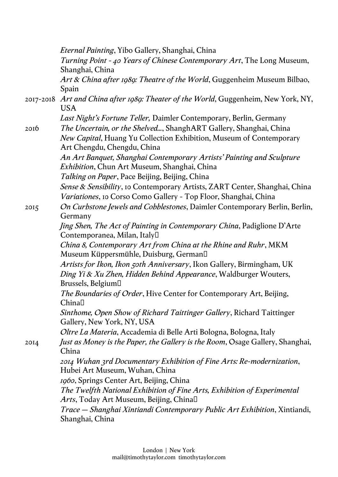*Eternal Painting*, Yibo Gallery, Shanghai, China *Turning Point - 40 Years of Chinese Contemporary Art*, The Long Museum, Shanghai, China *Art & China after 1989: Theatre of the World*, Guggenheim Museum Bilbao, Spain 2017-2018 *Art and China after 1989: Theater of the World*, Guggenheim, New York, NY, USA *Last Night's Fortune Teller,* Daimler Contemporary, Berlin, Germany 2016 *The Uncertain, or the Shelved...*, ShanghART Gallery, Shanghai, China *New Capital*, Huang Yu Collection Exhibition, Museum of Contemporary Art Chengdu, Chengdu, China *An Art Banquet, Shanghai Contemporary Artists' Painting and Sculpture Exhibition*, Chun Art Museum, Shanghai, China *Talking on Paper*, Pace Beijing, Beijing, China *Sense & Sensibility*, 10 Contemporary Artists, ZART Center, Shanghai, China *Variationes*, 10 Corso Como Gallery - Top Floor, Shanghai, China 2015 *On Curbstone Jewels and Cobblestones*, Daimler Contemporary Berlin, Berlin, Germany *Jing Shen, The Act of Painting in Contemporary China*, Padiglione D'Arte Contemporanea, Milan, Italy *China 8, Contemporary Art from China at the Rhine and Ruhr*, MKM Museum Küppersmühle, Duisburg, German *Artists for Ikon, Ikon 50th Anniversary*, Ikon Gallery, Birmingham, UK *Ding Yi & Xu Zhen, Hidden Behind Appearance*, Waldburger Wouters, Brussels, Belgium *The Boundaries of Order*, Hive Center for Contemporary Art, Beijing, China<sup>[1</sup>] *Sinthome, Open Show of Richard Taittinger Gallery*, Richard Taittinger Gallery, New York, NY, USA *Oltre La Materia*, Accademia di Belle Arti Bologna, Bologna, Italy 2014 *Just as Money is the Paper, the Gallery is the Room*, Osage Gallery, Shanghai, China *2014 Wuhan 3rd Documentary Exhibition of Fine Arts: Re-modernization*, Hubei Art Museum, Wuhan, China *1960*, Springs Center Art, Beijing, China *The Twelfth National Exhibition of Fine Arts, Exhibition of Experimental Arts*, Today Art Museum, Beijing, China *Trace – Shanghai Xintiandi Contemporary Public Art Exhibition*, Xintiandi, Shanghai, China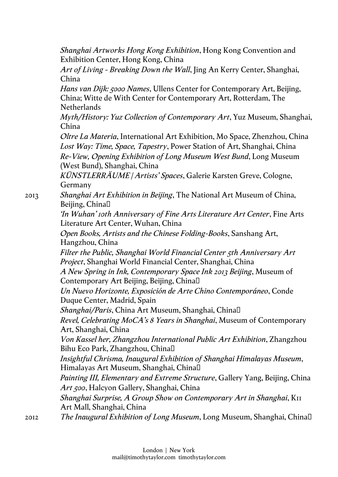*Shanghai Artworks Hong Kong Exhibition*, Hong Kong Convention and Exhibition Center, Hong Kong, China

*Art of Living - Breaking Down the Wall*, Jing An Kerry Center, Shanghai, China

*Hans van Dijk: 5000 Names*, Ullens Center for Contemporary Art, Beijing, China; Witte de With Center for Contemporary Art, Rotterdam, The **Netherlands** 

*Myth/History: Yuz Collection of Contemporary Art*, Yuz Museum, Shanghai, China

*Oltre La Materia*, International Art Exhibition, Mo Space, Zhenzhou, China *Lost Way: Time, Space, Tapestry*, Power Station of Art, Shanghai, China *Re-View, Opening Exhibition of Long Museum West Bund*, Long Museum (West Bund), Shanghai, China

*KÜNSTLERRÄUME | Artists' Spaces*, Galerie Karsten Greve, Cologne, Germany

2013 *Shanghai Art Exhibition in Beijing*, The National Art Museum of China, Beijing, China

> *'In Wuhan' 10th Anniversary of Fine Arts Literature Art Center*, Fine Arts Literature Art Center, Wuhan, China

*Open Books, Artists and the Chinese Folding-Books*, Sanshang Art, Hangzhou, China

*Filter the Public, Shanghai World Financial Center 5th Anniversary Art Project*, Shanghai World Financial Center, Shanghai, China

*A New Spring in Ink, Contemporary Space Ink 2013 Beijing*, Museum of Contemporary Art Beijing, Beijing, China

*Un Nuevo Horizonte, Exposición de Arte Chino Contemporáneo*, Conde Duque Center, Madrid, Spain

*Shanghai/Paris*, China Art Museum, Shanghai, China

*Revel, Celebrating MoCA's 8 Years in Shanghai*, Museum of Contemporary Art, Shanghai, China

*Von Kassel her, Zhangzhou International Public Art Exhibition*, Zhangzhou Bihu Eco Park, Zhangzhou, China

*Insightful Chrisma, Inaugural Exhibition of Shanghai Himalayas Museum*, Himalayas Art Museum, Shanghai, China

*Painting III, Elementary and Extreme Structure*, Gallery Yang, Beijing, China *Art 500*, Halcyon Gallery, Shanghai, China

*Shanghai Surprise, A Group Show on Contemporary Art in Shanghai*, K11 Art Mall, Shanghai, China

2012 *The Inaugural Exhibition of Long Museum*, Long Museum, Shanghai, China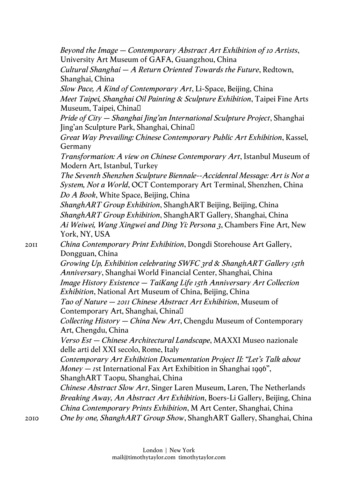*Beyond the Image – Contemporary Abstract Art Exhibition of 10 Artists*, University Art Museum of GAFA, Guangzhou, China

*Cultural Shanghai – A Return Oriented Towards the Future*, Redtown, Shanghai, China

*Slow Pace, A Kind of Contemporary Art*, Li-Space, Beijing, China *Meet Taipei, Shanghai Oil Painting & Sculpture Exhibition*, Taipei Fine Arts Museum, Taipei, China

*Pride of City – Shanghai Jing'an International Sculpture Project*, Shanghai Jing'an Sculpture Park, Shanghai, China

*Great Way Prevailing: Chinese Contemporary Public Art Exhibition*, Kassel, Germany

*Transformation: A view on Chinese Contemporary Art*, Istanbul Museum of Modern Art, Istanbul, Turkey

*The Seventh Shenzhen Sculpture Biennale--Accidental Message: Art is Not a System, Not a World*, OCT Contemporary Art Terminal, Shenzhen, China *Do A Book*, White Space, Beijing, China

*ShanghART Group Exhibition*, ShanghART Beijing, Beijing, China *ShanghART Group Exhibition*, ShanghART Gallery, Shanghai, China *Ai Weiwei, Wang Xingwei and Ding Yi: Persona 3*, Chambers Fine Art, New York, NY, USA

2011 *China Contemporary Print Exhibition*, Dongdi Storehouse Art Gallery, Dongguan, China

> *Growing Up, Exhibition celebrating SWFC 3rd & ShanghART Gallery 15th Anniversary*, Shanghai World Financial Center, Shanghai, China

*Image History Existence – TaiKang Life 15th Anniversary Art Collection Exhibition*, National Art Museum of China, Beijing, China

*Tao of Nature – 2011 Chinese Abstract Art Exhibition*, Museum of Contemporary Art, Shanghai, China

*Collecting History – China New Art*, Chengdu Museum of Contemporary Art, Chengdu, China

*Verso Est – Chinese Architectural Landscape*, MAXXI Museo nazionale delle arti del XXI secolo, Rome, Italy

*Contemporary Art Exhibition Documentation Project II: "Let's Talk about Money – 1*st International Fax Art Exhibition in Shanghai 1996", ShanghART Taopu, Shanghai, China

*Chinese Abstract Slow Art*, Singer Laren Museum, Laren, The Netherlands *Breaking Away, An Abstract Art Exhibition*, Boers-Li Gallery, Beijing, China *China Contemporary Prints Exhibition*, M Art Center, Shanghai, China 2010 *One by one, ShanghART Group Show*, ShanghART Gallery, Shanghai, China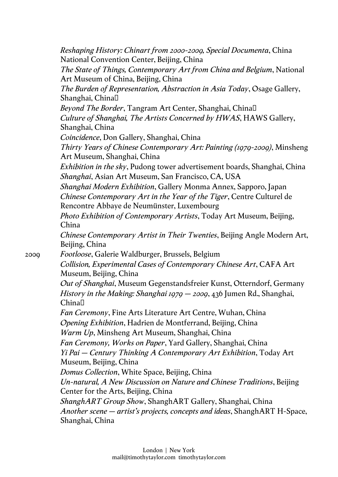*Reshaping History: Chinart from 2000-2009, Special Documenta*, China National Convention Center, Beijing, China *The State of Things, Contemporary Art from China and Belgium*, National Art Museum of China, Beijing, China *The Burden of Representation, Abstraction in Asia Today*, Osage Gallery, Shanghai, China *Beyond The Border*, Tangram Art Center, Shanghai, China *Culture of Shanghai, The Artists Concerned by HWAS*, HAWS Gallery, Shanghai, China *Coincidence*, Don Gallery, Shanghai, China *Thirty Years of Chinese Contemporary Art: Painting (1979-2009)*, Minsheng Art Museum, Shanghai, China *Exhibition in the sky*, Pudong tower advertisement boards, Shanghai, China *Shanghai*, Asian Art Museum, San Francisco, CA, USA *Shanghai Modern Exhibition*, Gallery Monma Annex, Sapporo, Japan *Chinese Contemporary Art in the Year of the Tiger*, Centre Culturel de Rencontre Abbaye de Neumünster, Luxembourg *Photo Exhibition of Contemporary Artists*, Today Art Museum, Beijing, China *Chinese Contemporary Artist in Their Twenties*, Beijing Angle Modern Art, Beijing, China 2009 *Footloose*, Galerie Waldburger, Brussels, Belgium *Collision, Experimental Cases of Contemporary Chinese Art*, CAFA Art Museum, Beijing, China *Out of Shanghai*, Museum Gegenstandsfreier Kunst, Otterndorf, Germany *History in the Making: Shanghai 1979 – 2009*, 436 Jumen Rd., Shanghai, China<sup>[]</sup> *Fan Ceremony*, Fine Arts Literature Art Centre, Wuhan, China *Opening Exhibition*, Hadrien de Montferrand, Beijing, China *Warm Up*, Minsheng Art Museum, Shanghai, China *Fan Ceremony, Works on Paper*, Yard Gallery, Shanghai, China *Yi Pai – Century Thinking A Contemporary Art Exhibition*, Today Art Museum, Beijing, China *Domus Collection*, White Space, Beijing, China *Un-natural, A New Discussion on Nature and Chinese Traditions*, Beijing Center for the Arts, Beijing, China *ShanghART Group Show*, ShanghART Gallery, Shanghai, China *Another scene – artist's projects, concepts and ideas*, ShanghART H-Space, Shanghai, China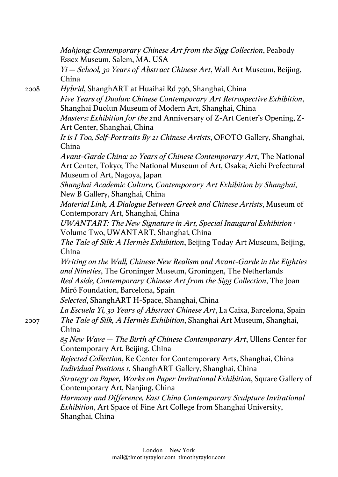*Mahjong: Contemporary Chinese Art from the Sigg Collection*, Peabody Essex Museum, Salem, MA, USA

*Yi – School, 30 Years of Abstract Chinese Art*, Wall Art Museum, Beijing, China

2008 *Hybrid*, ShanghART at Huaihai Rd 796, Shanghai, China

*Five Years of Duolun: Chinese Contemporary Art Retrospective Exhibition*, Shanghai Duolun Museum of Modern Art, Shanghai, China

*Masters: Exhibition for the 2*nd Anniversary of Z-Art Center's Opening, Z-Art Center, Shanghai, China

*It is I Too, Self-Portraits By 21 Chinese Artists*, OFOTO Gallery, Shanghai, China

*Avant-Garde China: 20 Years of Chinese Contemporary Art*, The National Art Center, Tokyo; The National Museum of Art, Osaka; Aichi Prefectural Museum of Art, Nagoya, Japan

*Shanghai Academic Culture, Contemporary Art Exhibition by Shanghai*, New B Gallery, Shanghai, China

*Material Link, A Dialogue Between Greek and Chinese Artists*, Museum of Contemporary Art, Shanghai, China

*UWANTART: The New Signature in Art, Special Inaugural Exhibition* · Volume Two, UWANTART, Shanghai, China

*The Tale of Silk: A Hermès Exhibition*, Beijing Today Art Museum, Beijing, China

*Writing on the Wall, Chinese New Realism and Avant-Garde in the Eighties and Nineties*, The Groninger Museum, Groningen, The Netherlands

*Red Aside, Contemporary Chinese Art from the Sigg Collection*, The Joan Miró Foundation, Barcelona, Spain

*Selected*, ShanghART H-Space, Shanghai, China

*La Escuela Yi, 30 Years of Abstract Chinese Art*, La Caixa, Barcelona, Spain 2007 *The Tale of Silk, A Hermès Exhibition*, Shanghai Art Museum, Shanghai, China

*85 New Wave – The Birth of Chinese Contemporary Art*, Ullens Center for Contemporary Art, Beijing, China

*Rejected Collection*, Ke Center for Contemporary Arts, Shanghai, China *Individual Positions 1*, ShanghART Gallery, Shanghai, China

*Strategy on Paper, Works on Paper Invitational Exhibition*, Square Gallery of Contemporary Art, Nanjing, China

*Harmony and Difference, East China Contemporary Sculpture Invitational Exhibition*, Art Space of Fine Art College from Shanghai University, Shanghai, China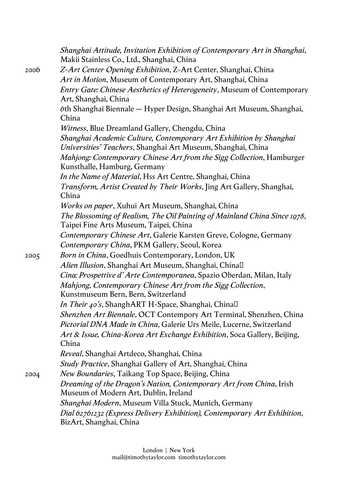|      | Shanghai Attitude, Invitation Exhibition of Contemporary Art in Shanghai,<br>Makii Stainless Co., Ltd., Shanghai, China |
|------|-------------------------------------------------------------------------------------------------------------------------|
| 2006 | Z-Art Center Opening Exhibition, Z-Art Center, Shanghai, China                                                          |
|      | Art in Motion, Museum of Contemporary Art, Shanghai, China                                                              |
|      | <i>Entry Gate: Chinese Aesthetics of Heterogeneity</i> , Museum of Contemporary<br>Art, Shanghai, China                 |
|      | 6th Shanghai Biennale — Hyper Design, Shanghai Art Museum, Shanghai,<br>China                                           |
|      | Witness, Blue Dreamland Gallery, Chengdu, China                                                                         |
|      | Shanghai Academic Culture, Contemporary Art Exhibition by Shanghai                                                      |
|      | Universities' Teachers, Shanghai Art Museum, Shanghai, China                                                            |
|      | Mahjong: Contemporary Chinese Art from the Sigg Collection, Hamburger<br>Kunsthalle, Hamburg, Germany                   |
|      | In the Name of Material, Hss Art Centre, Shanghai, China                                                                |
|      | Transform, Artist Created by Their Works, Jing Art Gallery, Shanghai,<br>China                                          |
|      | <i>Works on paper</i> , Xuhui Art Museum, Shanghai, China                                                               |
|      | The Blossoming of Realism, The Oil Painting of Mainland China Since 1978,<br>Taipei Fine Arts Museum, Taipei, China     |
|      | Contemporary Chinese Art, Galerie Karsten Greve, Cologne, Germany                                                       |
|      | Contemporary China, PKM Gallery, Seoul, Korea                                                                           |
| 2005 | Born in China, Goedhuis Contemporary, London, UK                                                                        |
|      | Alien Illusion, Shanghai Art Museum, Shanghai, Chinal                                                                   |
|      | Cina: Prospettive d'Arte Contemporanea, Spazio Oberdan, Milan, Italy                                                    |
|      | Mahjong, Contemporary Chinese Art from the Sigg Collection,                                                             |
|      | Kunstmuseum Bern, Bern, Switzerland                                                                                     |
|      | <i>In Their 40's</i> , ShanghART H-Space, Shanghai, Chinal                                                              |
|      | Shenzhen Art Biennale, OCT Contempory Art Terminal, Shenzhen, China                                                     |
|      | Pictorial DNA Made in China, Galerie Urs Meile, Lucerne, Switzerland                                                    |
|      | Art & Issue, China-Korea Art Exchange Exhibition, Soca Gallery, Beijing,                                                |
|      | China                                                                                                                   |
|      | <i>Reveal</i> , Shanghai Artdeco, Shanghai, China                                                                       |
|      | <i>Study Practice</i> , Shanghai Gallery of Art, Shanghai, China                                                        |
| 2004 | New Boundaries, Taikang Top Space, Beijing, China                                                                       |
|      | Dreaming of the Dragon's Nation, Contemporary Art from China, Irish                                                     |
|      | Museum of Modern Art, Dublin, Ireland                                                                                   |
|      | <i>Shanghai Modern</i> , Museum Villa Stuck, Munich, Germany                                                            |
|      | Dial 62761232 (Express Delivery Exhibition), Contemporary Art Exhibition,<br>BizArt, Shanghai, China                    |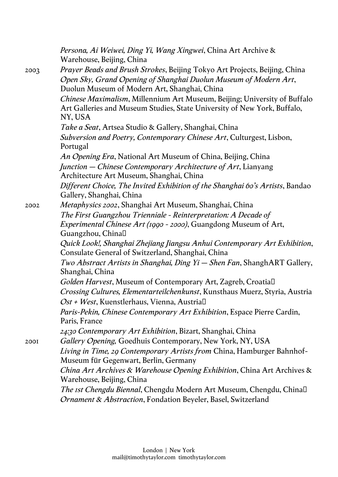|      | Persona, Ai Weiwei, Ding Yi, Wang Xingwei, China Art Archive &<br>Warehouse, Beijing, China   |
|------|-----------------------------------------------------------------------------------------------|
| 2003 | <i>Prayer Beads and Brush Strokes</i> , Beijing Tokyo Art Projects, Beijing, China            |
|      | Open Sky, Grand Opening of Shanghai Duolun Museum of Modern Art,                              |
|      | Duolun Museum of Modern Art, Shanghai, China                                                  |
|      | Chinese Maximalism, Millennium Art Museum, Beijing; University of Buffalo                     |
|      | Art Galleries and Museum Studies, State University of New York, Buffalo,<br>NY, USA           |
|      | Take a Seat, Artsea Studio & Gallery, Shanghai, China                                         |
|      | Subversion and Poetry, Contemporary Chinese Art, Culturgest, Lisbon,                          |
|      | Portugal                                                                                      |
|      | An Opening Era, National Art Museum of China, Beijing, China                                  |
|      | Junction – Chinese Contemporary Architecture of Art, Lianyang                                 |
|      | Architecture Art Museum, Shanghai, China                                                      |
|      | Different Choice, The Invited Exhibition of the Shanghai 60's Artists, Bandao                 |
|      | Gallery, Shanghai, China                                                                      |
| 2002 | Metaphysics 2002, Shanghai Art Museum, Shanghai, China                                        |
|      | The First Guangzhou Trienniale - Reinterpretation: A Decade of                                |
|      | <i>Experimental Chinese Art (1990 - 2000)</i> , Guangdong Museum of Art,<br>Guangzhou, China□ |
|      | Quick Look!, Shanghai Zhejiang Jiangsu Anhui Contemporary Art Exhibition,                     |
|      | Consulate General of Switzerland, Shanghai, China                                             |
|      | Two Abstract Artists in Shanghai, Ding Yi – Shen Fan, ShanghART Gallery,                      |
|      | Shanghai, China                                                                               |
|      | Golden Harvest, Museum of Contemporary Art, Zagreb, Croatial                                  |
|      | <i>Crossing Cultures, Elementarteilchenkunst</i> , Kunsthaus Muerz, Styria, Austria           |
|      | <i>Ost + West</i> , Kuenstlerhaus, Vienna, Austrial                                           |
|      | <i>Paris-Pekin, Chinese Contemporary Art Exhibition, Espace Pierre Cardin,</i>                |
|      | Paris, France                                                                                 |
|      | 24:30 Contemporary Art Exhibition, Bizart, Shanghai, China                                    |
| 200I | Gallery Opening, Goedhuis Contemporary, New York, NY, USA                                     |
|      | Living in Time, 29 Contemporary Artists from China, Hamburger Bahnhof-                        |
|      | Museum für Gegenwart, Berlin, Germany                                                         |
|      | <i>China Art Archives &amp; Warehouse Opening Exhibition, China Art Archives &amp;</i>        |
|      | Warehouse, Beijing, China                                                                     |
|      | The Ist Chengdu Biennal, Chengdu Modern Art Museum, Chengdu, Chinal                           |
|      | Ornament & Abstraction, Fondation Beyeler, Basel, Switzerland                                 |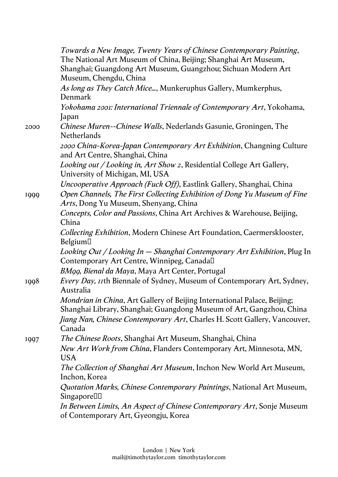|      | Towards a New Image, Twenty Years of Chinese Contemporary Painting,<br>The National Art Museum of China, Beijing; Shanghai Art Museum,<br>Shanghai; Guangdong Art Museum, Guangzhou; Sichuan Modern Art<br>Museum, Chengdu, China |
|------|-----------------------------------------------------------------------------------------------------------------------------------------------------------------------------------------------------------------------------------|
|      | As long as They Catch Mice, Munkeruphus Gallery, Mumkerphus,<br>Denmark                                                                                                                                                           |
|      | Yokohama 2001: International Triennale of Contemporary Art, Yokohama,<br>Japan                                                                                                                                                    |
| 2000 | Chinese Muren--Chinese Walls, Nederlands Gasunie, Groningen, The<br><b>Netherlands</b>                                                                                                                                            |
|      | 2000 China-Korea-Japan Contemporary Art Exhibition, Changning Culture<br>and Art Centre, Shanghai, China                                                                                                                          |
|      | Looking out / Looking in, Art Show 2, Residential College Art Gallery,<br>University of Michigan, MI, USA                                                                                                                         |
|      | Uncooperative Approach (Fuck Off), Eastlink Gallery, Shanghai, China                                                                                                                                                              |
| 1999 | Open Channels, The First Collecting Exhibition of Dong Yu Museum of Fine<br>Arts, Dong Yu Museum, Shenyang, China                                                                                                                 |
|      | Concepts, Color and Passions, China Art Archives & Warehouse, Beijing,<br>China                                                                                                                                                   |
|      | Collecting Exhibition, Modern Chinese Art Foundation, Caermersklooster,<br>Belgium□                                                                                                                                               |
|      | Looking Out / Looking In — Shanghai Contemporary Art Exhibition, Plug In<br>Contemporary Art Centre, Winnipeg, Canadal                                                                                                            |
|      | BM99, Bienal da Maya, Maya Art Center, Portugal                                                                                                                                                                                   |
| 1998 | <i>Every Day, 11th Biennale of Sydney, Museum of Contemporary Art, Sydney,</i><br>Australia                                                                                                                                       |
|      | Mondrian in China, Art Gallery of Beijing International Palace, Beijing;<br>Shanghai Library, Shanghai; Guangdong Museum of Art, Gangzhou, China                                                                                  |
|      | Jiang Nan, Chinese Contemporary Art, Charles H. Scott Gallery, Vancouver,<br>Canada                                                                                                                                               |
| 1997 | <i>The Chinese Roots</i> , Shanghai Art Museum, Shanghai, China                                                                                                                                                                   |
|      | New Art Work from China, Flanders Contemporary Art, Minnesota, MN,<br><b>USA</b>                                                                                                                                                  |
|      | The Collection of Shanghai Art Museum, Inchon New World Art Museum,<br>Inchon, Korea                                                                                                                                              |
|      | Quotation Marks, Chinese Contemporary Paintings, National Art Museum,<br>Singapore <sup>[1]</sup>                                                                                                                                 |
|      | In Between Limits, An Aspect of Chinese Contemporary Art, Sonje Museum<br>of Contemporary Art, Gyeongju, Korea                                                                                                                    |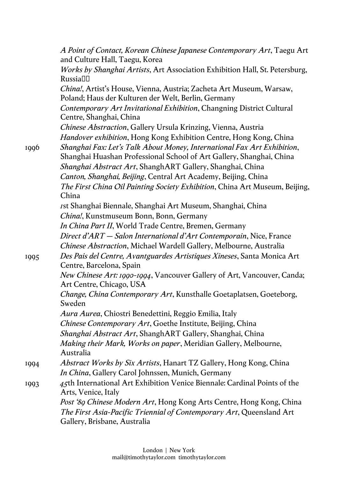|      | A Point of Contact, Korean Chinese Japanese Contemporary Art, Taegu Art<br>and Culture Hall, Taegu, Korea                                                                            |
|------|--------------------------------------------------------------------------------------------------------------------------------------------------------------------------------------|
|      | Works by Shanghai Artists, Art Association Exhibition Hall, St. Petersburg,<br>Russia□□                                                                                              |
|      | China!, Artist's House, Vienna, Austria; Zacheta Art Museum, Warsaw,<br>Poland; Haus der Kulturen der Welt, Berlin, Germany                                                          |
|      | Contemporary Art Invitational Exhibition, Changning District Cultural<br>Centre, Shanghai, China                                                                                     |
|      | <i>Chinese Abstraction</i> , Gallery Ursula Krinzing, Vienna, Austria                                                                                                                |
|      | Handover exhibition, Hong Kong Exhibition Centre, Hong Kong, China                                                                                                                   |
| 1996 | Shanghai Fax: Let's Talk About Money, International Fax Art Exhibition,<br>Shanghai Huashan Professional School of Art Gallery, Shanghai, China                                      |
|      | Shanghai Abstract Art, ShanghART Gallery, Shanghai, China                                                                                                                            |
|      | Canton, Shanghai, Beijing, Central Art Academy, Beijing, China                                                                                                                       |
|      | The First China Oil Painting Society Exhibition, China Art Museum, Beijing,<br>China                                                                                                 |
|      | rst Shanghai Biennale, Shanghai Art Museum, Shanghai, China                                                                                                                          |
|      | China!, Kunstmuseum Bonn, Bonn, Germany                                                                                                                                              |
|      | In China Part II, World Trade Centre, Bremen, Germany                                                                                                                                |
|      | Direct d'ART – Salon International d'Art Contemporain, Nice, France                                                                                                                  |
|      | Chinese Abstraction, Michael Wardell Gallery, Melbourne, Australia                                                                                                                   |
| 1995 | Des Pais del Centre, Avantguardes Artistiques Xineses, Santa Monica Art<br>Centre, Barcelona, Spain                                                                                  |
|      | New Chinese Art: 1990-1994, Vancouver Gallery of Art, Vancouver, Canda;<br>Art Centre, Chicago, USA                                                                                  |
|      | Change, China Contemporary Art, Kunsthalle Goetaplatsen, Goeteborg,<br>Sweden                                                                                                        |
|      | Aura Aurea, Chiostri Benedettini, Reggio Emilia, Italy                                                                                                                               |
|      | Chinese Contemporary Art, Goethe Institute, Beijing, China                                                                                                                           |
|      | Shanghai Abstract Art, ShanghART Gallery, Shanghai, China                                                                                                                            |
|      | Making their Mark, Works on paper, Meridian Gallery, Melbourne,<br>Australia                                                                                                         |
| 1994 | Abstract Works by Six Artists, Hanart TZ Gallery, Hong Kong, China                                                                                                                   |
|      | In China, Gallery Carol Johnssen, Munich, Germany                                                                                                                                    |
| 1993 | 45th International Art Exhibition Venice Biennale: Cardinal Points of the<br>Arts, Venice, Italy                                                                                     |
|      | <i>Post '89 Chinese Modern Art</i> , Hong Kong Arts Centre, Hong Kong, China<br>The First Asia-Pacific Triennial of Contemporary Art, Queensland Art<br>Gallery, Brisbane, Australia |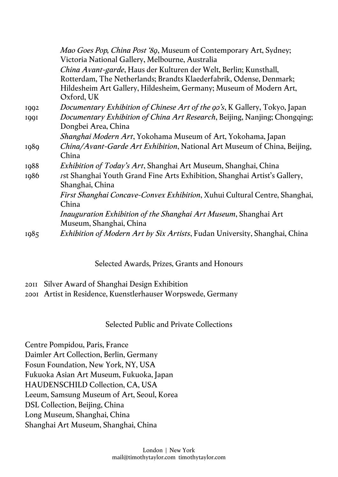|      | <i>Mao Goes Pop, China Post '89, Museum of Contemporary Art, Sydney;</i><br>Victoria National Gallery, Melbourne, Australia                      |
|------|--------------------------------------------------------------------------------------------------------------------------------------------------|
|      | <i>China Avant-garde</i> , Haus der Kulturen der Welt, Berlin; Kunsthall,<br>Rotterdam, The Netherlands; Brandts Klaederfabrik, Odense, Denmark; |
|      | Hildesheim Art Gallery, Hildesheim, Germany; Museum of Modern Art,<br>Oxford, UK                                                                 |
| 1992 | <i>Documentary Exhibition of Chinese Art of the 90's, K Gallery, Tokyo, Japan</i>                                                                |
| 1991 | Documentary Exhibition of China Art Research, Beijing, Nanjing; Chongqing;<br>Dongbei Area, China                                                |
|      | <i>Shanghai Modern Art</i> , Yokohama Museum of Art, Yokohama, Japan                                                                             |
| 1989 | China/Avant-Garde Art Exhibition, National Art Museum of China, Beijing,<br>China                                                                |
| 1988 | Exhibition of Today's Art, Shanghai Art Museum, Shanghai, China                                                                                  |
| 1986 | <i>rst Shanghai Youth Grand Fine Arts Exhibition, Shanghai Artist's Gallery,</i><br>Shanghai, China                                              |
|      | <i>First Shanghai Concave-Convex Exhibition</i> , Xuhui Cultural Centre, Shanghai,<br>China                                                      |
|      | <i>Inauguration Exhibition of the Shanghai Art Museum, Shanghai Art</i><br>Museum, Shanghai, China                                               |
| 1985 | <i>Exhibition of Modern Art by Six Artists</i> , Fudan University, Shanghai, China                                                               |

### Selected Awards, Prizes, Grants and Honours

- 2011 Silver Award of Shanghai Design Exhibition
- 2001 Artist in Residence, Kuenstlerhauser Worpswede, Germany

### Selected Public and Private Collections

Centre Pompidou, Paris, France Daimler Art Collection, Berlin, Germany Fosun Foundation, New York, NY, USA Fukuoka Asian Art Museum, Fukuoka, Japan HAUDENSCHILD Collection, CA, USA Leeum, Samsung Museum of Art, Seoul, Korea DSL Collection, Beijing, China Long Museum, Shanghai, China Shanghai Art Museum, Shanghai, China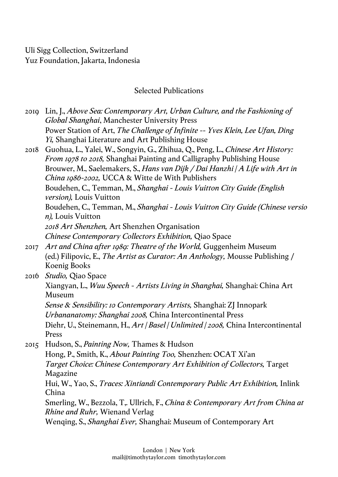Uli Sigg Collection, Switzerland Yuz Foundation, Jakarta, Indonesia

## Selected Publications

| 2010 | Lin, J., Above Sea: Contemporary Art, Urban Culture, and the Fashioning of<br><b>Global Shanghai, Manchester University Press</b>                               |
|------|-----------------------------------------------------------------------------------------------------------------------------------------------------------------|
|      | Power Station of Art, The Challenge of Infinite -- Yves Klein, Lee Ufan, Ding<br>Yi, Shanghai Literature and Art Publishing House                               |
| 2018 | Guohua, L., Yalei, W., Songyin, G., Zhihua, Q., Peng, L., Chinese Art History:<br><i>From 1978 to 2018</i> , Shanghai Painting and Calligraphy Publishing House |
|      | Brouwer, M., Saelemakers, S., Hans van Dijk / Dai Hanzhi   A Life with Art in<br>China 1986-2002, UCCA & Witte de With Publishers                               |
|      | Boudehen, C., Temman, M., Shanghai - Louis Vuitton City Guide (English<br><i>version</i> ), Louis Vuitton                                                       |
|      | Boudehen, C., Temman, M., Shanghai - Louis Vuitton City Guide (Chinese versio<br><i>n</i> ), Louis Vuitton                                                      |
|      | 2018 Art Shenzhen, Art Shenzhen Organisation                                                                                                                    |
|      | Chinese Contemporary Collectors Exhibition, Qiao Space                                                                                                          |
| 2017 | Art and China after 1989: Theatre of the World, Guggenheim Museum                                                                                               |
|      | (ed.) Filipovic, E., The Artist as Curator: An Anthology, Mousse Publishing /<br>Koenig Books                                                                   |
| 2016 | <i>Studio</i> , Qiao Space                                                                                                                                      |
|      | Xiangyan, L., <i>Wuu Speech - Artists Living in Shanghai</i> , Shanghai: China Art<br>Museum                                                                    |
|      | Sense & Sensibility: 10 Contemporary Artists, Shanghai: ZJ Innopark                                                                                             |
|      | Urbananatomy: Shanghai 2008, China Intercontinental Press                                                                                                       |
|      | Diehr, U., Steinemann, H., Art   Basel   Unlimited   2008, China Intercontinental<br>Press                                                                      |
| 2015 | Hudson, S., <i>Painting Now</i> , Thames & Hudson                                                                                                               |
|      | Hong, P., Smith, K., About Painting Too, Shenzhen: OCAT Xi'an                                                                                                   |
|      | Target Choice: Chinese Contemporary Art Exhibition of Collectors, Target<br>Magazine                                                                            |
|      | Hui, W., Yao, S., <i>Traces: Xintiandi Contemporary Public Art Exhibition</i> , Inlink<br>China                                                                 |
|      | Smerling, W., Bezzola, T., Ullrich, F., China 8: Contemporary Art from China at<br><i>Rhine and Ruhr</i> , Wienand Verlag                                       |
|      | Wenging, S., Shanghai Ever, Shanghai: Museum of Contemporary Art                                                                                                |
|      |                                                                                                                                                                 |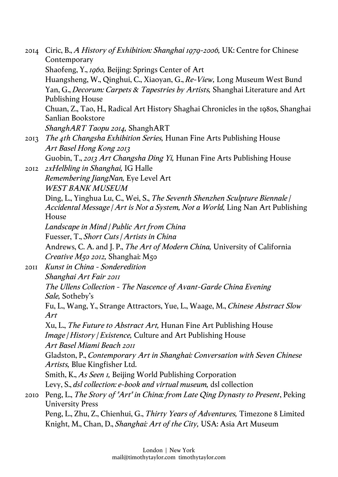| 2014        | Ciric, B., A History of Exhibition: Shanghai 1979-2006, UK: Centre for Chinese<br>Contemporary                                                                 |
|-------------|----------------------------------------------------------------------------------------------------------------------------------------------------------------|
|             | Shaofeng, Y., 1960, Beijing: Springs Center of Art                                                                                                             |
|             | Huangsheng, W., Qinghui, C., Xiaoyan, G., Re-View, Long Museum West Bund                                                                                       |
|             | Yan, G., Decorum: Carpets & Tapestries by Artists, Shanghai Literature and Art                                                                                 |
|             | <b>Publishing House</b>                                                                                                                                        |
|             | Chuan, Z., Tao, H., Radical Art History Shaghai Chronicles in the 1980s, Shanghai<br>Sanlian Bookstore                                                         |
|             | ShanghART Taopu 2014, ShanghART                                                                                                                                |
| 2013        | The 4th Changsha Exhibition Series, Hunan Fine Arts Publishing House                                                                                           |
|             | Art Basel Hong Kong 2013                                                                                                                                       |
|             | Guobin, T., 2013 Art Changsha Ding Yi, Hunan Fine Arts Publishing House                                                                                        |
| 2012        | <i><b>2xHelbling in Shanghai, IG Halle</b></i>                                                                                                                 |
|             | Remembering JiangNan, Eye Level Art                                                                                                                            |
|             | <b>WEST BANK MUSEUM</b>                                                                                                                                        |
|             | Ding, L., Yinghua Lu, C., Wei, S., The Seventh Shenzhen Sculpture Biennale /<br>Accidental Message   Art is Not a System, Not a World, Ling Nan Art Publishing |
|             | House                                                                                                                                                          |
|             | Landscape in Mind   Public Art from China                                                                                                                      |
|             | Fuesser, T., Short Cuts   Artists in China                                                                                                                     |
|             | Andrews, C. A. and J. P., The Art of Modern China, University of California                                                                                    |
|             | <i>Creative M50 2012</i> , Shanghai: M50                                                                                                                       |
| <b>20II</b> | Kunst in China - Sonderedition                                                                                                                                 |
|             | Shanghai Art Fair 2011                                                                                                                                         |
|             | The Ullens Collection - The Nascence of Avant-Garde China Evening<br>Sale, Sotheby's                                                                           |
|             | Fu, L., Wang, Y., Strange Attractors, Yue, L., Waage, M., Chinese Abstract Slow<br>Art                                                                         |
|             | Xu, L., <i>The Future to Abstract Art</i> , Hunan Fine Art Publishing House                                                                                    |
|             | <i>Image   History   Existence, Culture and Art Publishing House</i>                                                                                           |
|             | Art Basel Miami Beach 2011                                                                                                                                     |
|             | Gladston, P., Contemporary Art in Shanghai: Conversation with Seven Chinese<br>Artists, Blue Kingfisher Ltd.                                                   |
|             | Smith, K., As Seen <i>I</i> , Beijing World Publishing Corporation                                                                                             |
|             | Levy, S., dsl collection: e-book and virtual museum, dsl collection                                                                                            |
|             |                                                                                                                                                                |
| 2010        | Peng, L., The Story of "Art" in China: from Late Qing Dynasty to Present, Peking<br><b>University Press</b>                                                    |
|             | Peng, L., Zhu, Z., Chienhui, G., Thirty Years of Adventures, Timezone 8 Limited                                                                                |
|             | Knight, M., Chan, D., <i>Shanghai: Art of the City</i> , USA: Asia Art Museum                                                                                  |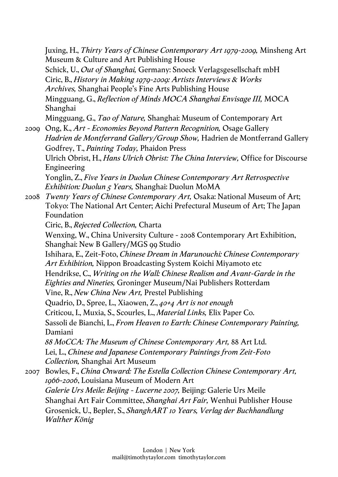Juxing, H., *Thirty Years of Chinese Contemporary Art 1979-2009,* Minsheng Art Museum & Culture and Art Publishing House Schick, U., *Out of Shanghai,* Germany: Snoeck Verlagsgesellschaft mbH Ciric, B., *History in Making 1979-2009: Artists Interviews & Works Archives,* Shanghai People's Fine Arts Publishing House Mingguang, G., *Reflection of Minds MOCA Shanghai Envisage III,* MOCA Shanghai Mingguang, G., *Tao of Nature,* Shanghai: Museum of Contemporary Art

2009 Ong, K., *Art - Economies Beyond Pattern Recognition,* Osage Gallery *Hadrien de Montferrand Gallery/Group Show,* Hadrien de Montferrand Gallery Godfrey, T., *Painting Today,* Phaidon Press Ulrich Obrist, H., *Hans Ulrich Obrist: The China Interview,* Office for Discourse Engineering

Yonglin, Z., *Five Years in Duolun Chinese Contemporary Art Retrospective Exhibition: Duolun 5 Years,* Shanghai: Duolun MoMA

2008 *Twenty Years of Chinese Contemporary Art,* Osaka: National Museum of Art; Tokyo: The National Art Center; Aichi Prefectural Museum of Art; The Japan Foundation

Ciric, B., *Rejected Collection,* Charta

Wenxing, W., China University Culture - 2008 Contemporary Art Exhibition, Shanghai: New B Gallery/MGS 99 Studio

Ishihara, E., Zeit-Foto, *Chinese Dream in Marunouchi: Chinese Contemporary Art Exhibition,* Nippon Broadcasting System Koichi Miyamoto etc

Hendrikse, C., *Writing on the Wall: Chinese Realism and Avant-Garde in the Eighties and Nineties,* Groninger Museum/Nai Publishers Rotterdam Vine, R., *New China New Art,* Prestel Publishing

Quadrio, D., Spree, L., Xiaowen, Z., *40+4 Art is not enough* Criticou, I., Muxia, S., Scourles, L., *Material Links,* Elix Paper Co. Sassoli de Bianchi, L., *From Heaven to Earth: Chinese Contemporary Painting,* Damiani *88 MoCCA: The Museum of Chinese Contemporary Art,* 88 Art Ltd.

Lei, L., *Chinese and Japanese Contemporary Paintings from Zeit-Foto Collection,* Shanghai Art Museum

2007 Bowles, F., *China Onward: The Estella Collection Chinese Contemporary Art, 1966-2006*, Louisiana Museum of Modern Art *Galerie Urs Meile: Beijing - Lucerne 2007,* Beijing: Galerie Urs Meile Shanghai Art Fair Committee, *Shanghai Art Fair,* Wenhui Publisher House Grosenick, U., Bepler, S., *ShanghART 10 Years, Verlag der Buchhandlung Walther König*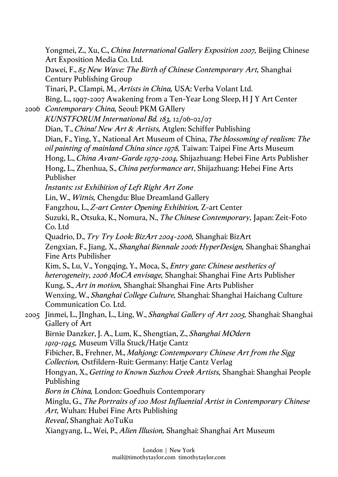Yongmei, Z., Xu, C., *China International Gallery Exposition 2007,* Beijing Chinese Art Exposition Media Co. Ltd. Dawei, F., *85 New Wave: The Birth of Chinese Contemporary Art,* Shanghai Century Publishing Group Tinari, P., CIampi, M., *Artists in China,* USA: Verba Volant Ltd. Bing, L., 1997-2007 Awakening from a Ten-Year Long Sleep, H J Y Art Center 2006 *Contemporary China,* Seoul: PKM GAllery *KUNSTFORUM International Bd. 183,* 12/06-02/07 Dian, T., *China! New Art & Artists,* Atglen: Schiffer Publishing Dian, F., Ying, Y., National Art Museum of China, *The blossoming of realism: The oil painting of mainland China since 1978,* Taiwan: Taipei Fine Arts Museum Hong, L., *China Avant-Garde 1979-2004,* Shijazhuang: Hebei Fine Arts Publisher Hong, L., Zhenhua, S., *China performance art*, Shijazhuang: Hebei Fine Arts Publisher *Instants: 1st Exhibition of Left Right Art Zone* Lin, W., *Witnis,* Chengdu: Blue Dreamland Gallery Fangzhou, L., *Z-art Center Opening Exhibition,* Z-art Center Suzuki, R., Otsuka, K., Nomura, N., *The Chinese Contemporary,* Japan: Zeit-Foto Co. Ltd Quadrio, D., *Try Try Look: BizArt 2004-2006,* Shanghai: BizArt Zengxian, F., Jiang, X., *Shanghai Biennale 2006: HyperDesign,* Shanghai: Shanghai Fine Arts Pubilisher Kim, S., Lu, V., Yongqing, Y., Moca, S., *Entry gate: Chinese aesthetics of heterogeneity, 2006 MoCA envisage,* Shanghai: Shanghai Fine Arts Publisher Kung, S., *Art in motion,* Shanghai: Shanghai Fine Arts Publisher Wenxing, W., *Shanghai College Culture,* Shanghai: Shanghai Haichang Culture Communication Co. Ltd. 2005 Jinmei, L., JInghan, L., Ling, W., *Shanghai Gallery of Art 2005,* Shanghai: Shanghai Gallery of Art Birnie Danzker, J. A., Lum, K., Shengtian, Z., *Shanghai MOdern 1919-1945,* Museum Villa Stuck/Hatje Cantz Fibicher, B., Frehner, M., *Mahjong: Contemporary Chinese Art from the Sigg Collection,* Ostfildern-Ruit: Germany: Hatje Cantz Verlag Hongyan, X., *Getting to Known Suzhou Creek Artists,* Shanghai: Shanghai People Publishing *Born in China,* London: Goedhuis Contemporary Minglu, G., *The Portraits of 100 Most Influential Artist in Contemporary Chinese Art,* Wuhan: Hubei Fine Arts Publishing *Reveal*, Shanghai: AoTuKu Xiangyang, L., Wei, P., *Alien Illusion,* Shanghai: Shanghai Art Museum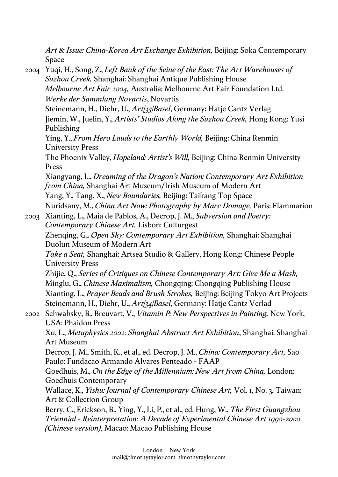*Art & Issue: China-Korea Art Exchange Exhibition,* Beijing: Soka Contemporary Space

2004 Yuqi, H., Song, Z., *Left Bank of the Seine of the East: The Art Warehouses of Suzhou Creek,* Shanghai: Shanghai Antique Publishing House *Melbourne Art Fair 2004,* Australia: Melbourne Art Fair Foundation Ltd. *Werke der Sammlung Novartis*, Novartis Steinemann, H., Diehr, U., *Art|35|Basel*, Germany: Hatje Cantz Verlag Jiemin, W., Juelin, Y., *Artists' Studios Along the Suzhou Creek,* Hong Kong: Yusi Publishing Ying, Y., *From Hero Lauds to the Earthly World,* Beijing: China Renmin University Press The Phoenix Valley, *Hopeland: Artist's Will,* Beijing: China Renmin University Press Xiangyang, L., *Dreaming of the Dragon's Nation: Contemporary Art Exhibition from China,* Shanghai Art Museum/Irish Museum of Modern Art Yang, Y., Tang, X., *New Boundaries,* Beijing: Taikang Top Space Nuridsany, M., *China Art Now: Photography by Marc Domage,* Paris: Flammarion 2003 Xianting, L., Maia de Pablos, A., Decrop, J. M., *Subversion and Poetry: Contemporary Chinese Art,* Lisbon: Culturgest Zhenqing, G,. *Open Sky: Contemporary Art Exhibition,* Shanghai: Shanghai Duolun Museum of Modern Art *Take a Seat,* Shanghai: Artsea Studio & Gallery, Hong Kong: Chinese People University Press Zhijie, Q., *Series of Critiques on Chinese Contemporary Art: Give Me a Mask,*  Minglu, G., *Chinese Maximalism,* Chongqing: Chongqing Publishing House Xianting, L., *Prayer Beads and Brush Strokes,* Beijing: Beijing Tokyo Art Projects Steinemann, H., Diehr, U., *Art|34|Basel*, Germany: Hatje Cantz Verlad 2002 Schwabsky, B., Breuvart, V., *Vitamin P: New Perspectives in Painting,* New York, USA: Phaidon Press Xu, L., *Metaphysics 2002: Shanghai Abstract Art Exhibition*, Shanghai: Shanghai Art Museum Decrop, J. M., Smith, K., et al., ed. Decrop, J. M., *China: Contemporary Art,* Sao Paulo: Fundacao Armando Alvares Penteado - FAAP Goedhuis, M., *On the Edge of the Millennium: New Art from China,* London: Goedhuis Contemporary Wallace, K., *Yishu: Journal of Contemporary Chinese Art,* Vol. 1, No. 3, Taiwan: Art & Collection Group Berry, C., Erickson, B., Ying, Y., Li, P., et al., ed. Hung, W., *The First Guangzhou Triennial - Reinterpretation: A Decade of Experimental Chinese Art 1990-2000 (Chinese version)*, Macao: Macao Publishing House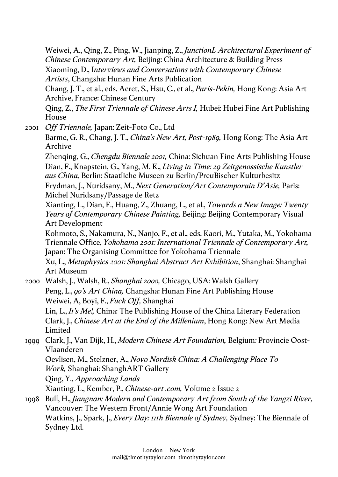Weiwei, A., Qing, Z., Ping, W., Jianping, Z., *JunctionL Architectural Experiment of Chinese Contemporary Art,* Beijing: China Architecture & Building Press Xiaoming, D., I*nterviews and Conversations with Contemporary Chinese Artists*, Changsha: Hunan Fine Arts Publication

Chang, J. T., et al., eds. Acret, S., Hsu, C., et al., *Paris-Pekin,* Hong Kong: Asia Art Archive, France: Chinese Century

Qing, Z., *The First Triennale of Chinese Arts I,* Hubei: Hubei Fine Art Publishing House

2001 *Off Triennale,* Japan: Zeit-Foto Co., Ltd Barme, G. R., Chang, J. T., *China's New Art, Post-1989,* Hong Kong: The Asia Art Archive

Zhenqing, G., *Chengdu Biennale 2001,* China: Sichuan Fine Arts Publishing House Dian, F., Knapstein, G., Yang, M. K., *Living in Time: 29 Zeitgenossische Kunstler aus China,* Berlin: Staatliche Museen zu Berlin/PreuBischer Kulturbesitz

Frydman, J., Nuridsany, M., *Next Generation/Art Contemporain D'Asie,* Paris: Michel Nuridsany/Passage de Retz

Xianting, L., Dian, F., Huang, Z., Zhuang, L., et al., *Towards a New Image: Twenty Years of Contemporary Chinese Painting,* Beijing: Beijing Contemporary Visual Art Development

Kohmoto, S., Nakamura, N., Nanjo, F., et al., eds. Kaori, M., Yutaka, M., Yokohama Triennale Office, *Yokohama 2001: International Triennale of Contemporary Art,* Japan: The Organising Committee for Yokohama Triennale

Xu, L., *Metaphysics 2001: Shanghai Abstract Art Exhibition*, Shanghai: Shanghai Art Museum

2000 Walsh, J., Walsh, R., *Shanghai 2000,* Chicago, USA: Walsh Gallery Peng, L., *90's Art China,* Changsha: Hunan Fine Art Publishing House Weiwei, A, Boyi, F., *Fuck Off,* Shanghai Lin, L., *It's Me!,* China: The Publishing House of the China Literary Federation Clark, J., *Chinese Art at the End of the Millenium*, Hong Kong: New Art Media Limited

1999 Clark, J., Van Dijk, H., *Modern Chinese Art Foundation,* Belgium*:* Provincie Oost-Vlaanderen

Oevlisen, M., Stelzner, A., *Novo Nordisk China: A Challenging Place To Work,* Shanghai: ShanghART Gallery

Qing, Y., *Approaching Lands*

Xianting, L., Kember, P., *Chinese-art .com,* Volume 2 Issue 2

1998 Bull, H., *Jiangnan: Modern and Contemporary Art from South of the Yangzi River,* Vancouver: The Western Front/Annie Wong Art Foundation Watkins, J., Spark, J., *Every Day: 11th Biennale of Sydney,* Sydney: The Biennale of Sydney Ltd.